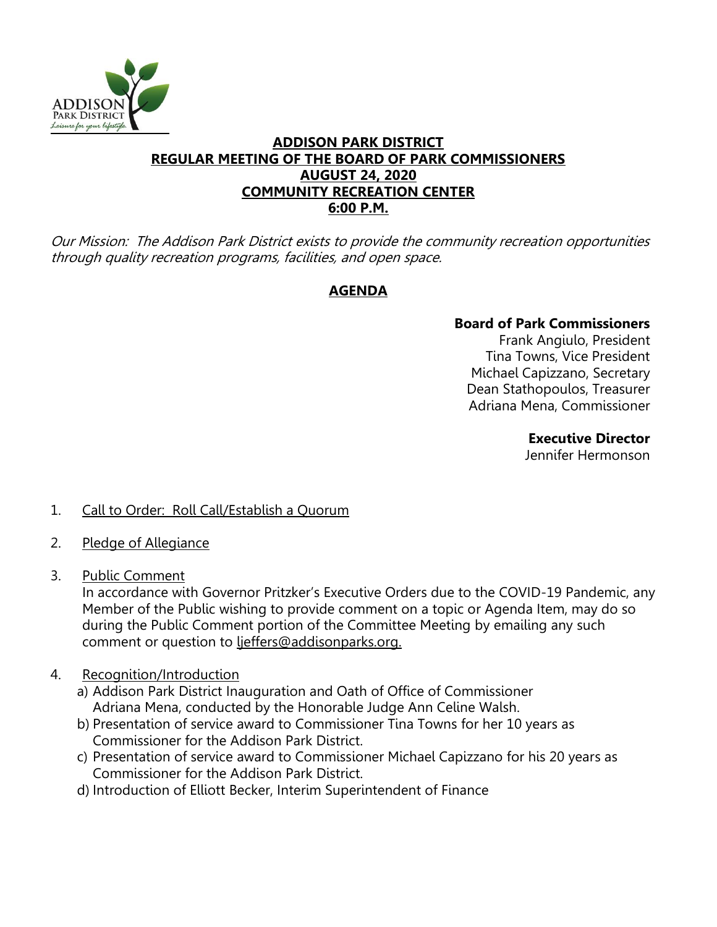

### **ADDISON PARK DISTRICT REGULAR MEETING OF THE BOARD OF PARK COMMISSIONERS AUGUST 24, 2020 COMMUNITY RECREATION CENTER 6:00 P.M.**

Our Mission: The Addison Park District exists to provide the community recreation opportunities through quality recreation programs, facilities, and open space.

# **AGENDA**

# **Board of Park Commissioners**

Frank Angiulo, President Tina Towns, Vice President Michael Capizzano, Secretary Dean Stathopoulos, Treasurer Adriana Mena, Commissioner

## **Executive Director**

Jennifer Hermonson

- 1. Call to Order: Roll Call/Establish a Quorum
- 2. Pledge of Allegiance
- 3. Public Comment

In accordance with Governor Pritzker's Executive Orders due to the COVID-19 Pandemic, any Member of the Public wishing to provide comment on a topic or Agenda Item, may do so during the Public Comment portion of the Committee Meeting by emailing any such comment or question to ljeffers@addisonparks.org.

- 4. Recognition/Introduction
	- a) Addison Park District Inauguration and Oath of Office of Commissioner Adriana Mena, conducted by the Honorable Judge Ann Celine Walsh.
	- b) Presentation of service award to Commissioner Tina Towns for her 10 years as Commissioner for the Addison Park District.
	- c) Presentation of service award to Commissioner Michael Capizzano for his 20 years as Commissioner for the Addison Park District.
	- d) Introduction of Elliott Becker, Interim Superintendent of Finance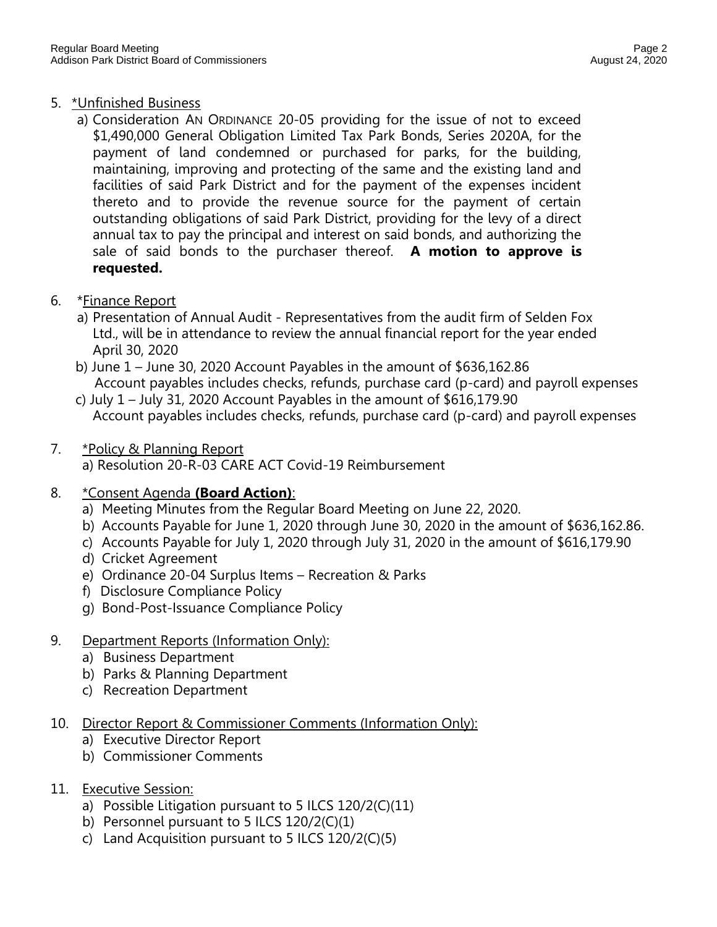## 5. \*Unfinished Business

- a) Consideration AN ORDINANCE 20-05 providing for the issue of not to exceed \$1,490,000 General Obligation Limited Tax Park Bonds, Series 2020A, for the payment of land condemned or purchased for parks, for the building, maintaining, improving and protecting of the same and the existing land and facilities of said Park District and for the payment of the expenses incident thereto and to provide the revenue source for the payment of certain outstanding obligations of said Park District, providing for the levy of a direct annual tax to pay the principal and interest on said bonds, and authorizing the sale of said bonds to the purchaser thereof. **A motion to approve is requested.**
- 6. \*Finance Report
	- a) Presentation of Annual Audit Representatives from the audit firm of Selden Fox Ltd., will be in attendance to review the annual financial report for the year ended April 30, 2020
	- b) June 1 June 30, 2020 Account Payables in the amount of \$636,162.86 Account payables includes checks, refunds, purchase card (p-card) and payroll expenses
	- c) July 1 July 31, 2020 Account Payables in the amount of \$616,179.90 Account payables includes checks, refunds, purchase card (p-card) and payroll expenses
- 7. \*Policy & Planning Report a) Resolution 20-R-03 CARE ACT Covid-19 Reimbursement

# 8. \*Consent Agenda **(Board Action)**:

- a) Meeting Minutes from the Regular Board Meeting on June 22, 2020.
- b) Accounts Payable for June 1, 2020 through June 30, 2020 in the amount of \$636,162.86.
- c) Accounts Payable for July 1, 2020 through July 31, 2020 in the amount of \$616,179.90
- d) Cricket Agreement
- e) Ordinance 20-04 Surplus Items Recreation & Parks
- f) Disclosure Compliance Policy
- g) Bond-Post-Issuance Compliance Policy
- 9. Department Reports (Information Only):
	- a) Business Department
	- b) Parks & Planning Department
	- c) Recreation Department
- 10. Director Report & Commissioner Comments (Information Only):
	- a) Executive Director Report
	- b) Commissioner Comments
- 11. Executive Session:
	- a) Possible Litigation pursuant to 5 ILCS 120/2(C)(11)
	- b) Personnel pursuant to 5 ILCS 120/2(C)(1)
	- c) Land Acquisition pursuant to 5 ILCS 120/2(C)(5)